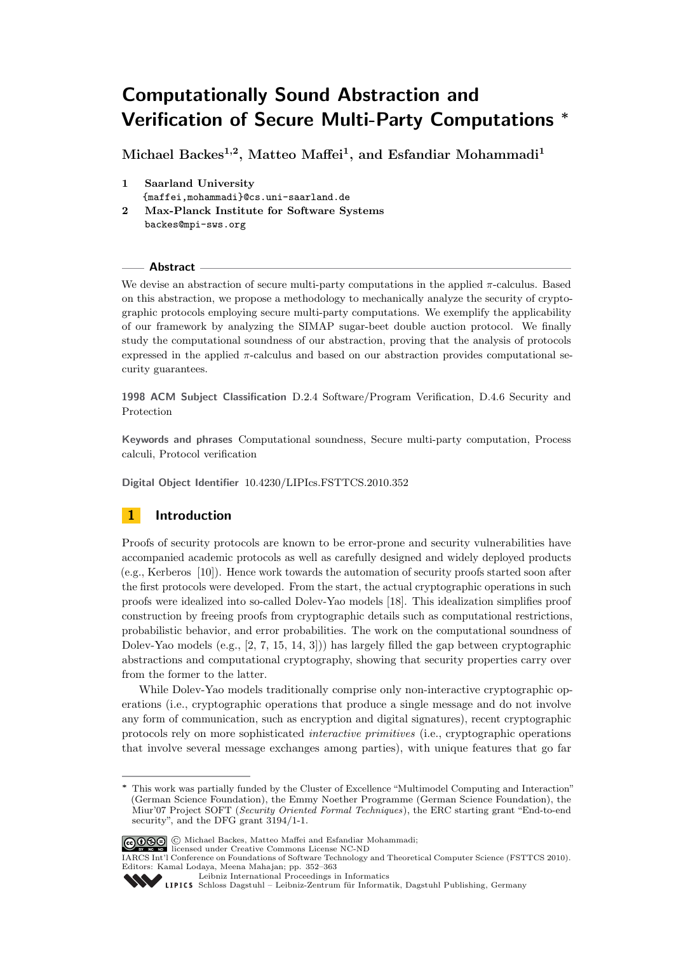# Computationally Sound Abstraction and Verification of Secure Multi-Party Computations **<sup>∗</sup>**

Michael Backes<sup>1,2</sup>, Matteo Maffei<sup>1</sup>, and Esfandiar Mohammadi<sup>1</sup>

- 1 Saarland University {maffei,mohammadi}@cs.uni-saarland.de
- 2 Max-Planck Institute for Software Systems backes@mpi-sws.org

### **Abstract**

We devise an abstraction of secure multi-party computations in the applied *π*-calculus. Based on this abstraction, we propose a methodology to mechanically analyze the security of cryptographic protocols employing secure multi-party computations. We exemplify the applicability of our framework by analyzing the SIMAP sugar-beet double auction protocol. We finally study the computational soundness of our abstraction, proving that the analysis of protocols expressed in the applied *π*-calculus and based on our abstraction provides computational security guarantees.

1998 ACM Subject Classification D.2.4 Software/Program Verification, D.4.6 Security and Protection

Keywords and phrases Computational soundness, Secure multi-party computation, Process calculi, Protocol verification

Digital Object Identifier [10.4230/LIPIcs.FSTTCS.2010.352](http://dx.doi.org/10.4230/LIPIcs.FSTTCS.2010.352)

# 1 Introduction

Proofs of security protocols are known to be error-prone and security vulnerabilities have accompanied academic protocols as well as carefully designed and widely deployed products (e.g., Kerberos [\[10\]](#page-11-0)). Hence work towards the automation of security proofs started soon after the first protocols were developed. From the start, the actual cryptographic operations in such proofs were idealized into so-called Dolev-Yao models [\[18\]](#page-11-1). This idealization simplifies proof construction by freeing proofs from cryptographic details such as computational restrictions, probabilistic behavior, and error probabilities. The work on the computational soundness of Dolev-Yao models (e.g., [\[2,](#page-11-2) [7,](#page-11-3) [15,](#page-11-4) [14,](#page-11-5) [3\]](#page-11-6))) has largely filled the gap between cryptographic abstractions and computational cryptography, showing that security properties carry over from the former to the latter.

While Dolev-Yao models traditionally comprise only non-interactive cryptographic operations (i.e., cryptographic operations that produce a single message and do not involve any form of communication, such as encryption and digital signatures), recent cryptographic protocols rely on more sophisticated interactive primitives (i.e., cryptographic operations that involve several message exchanges among parties), with unique features that go far

**<sup>∗</sup>** This work was partially funded by the Cluster of Excellence "Multimodel Computing and Interaction" (German Science Foundation), the Emmy Noether Programme (German Science Foundation), the Miur'07 Project SOFT (Security Oriented Formal Techniques), the ERC starting grant "End-to-end security", and the DFG grant 3194/1-1.



IARCS Int'l Conference on Foundations of Software Technology and Theoretical Computer Science (FSTTCS 2010). Editors: Kamal Lodaya, Meena Mahajan; pp. 352[–363](#page-11-7) [Leibniz International Proceedings in Informatics](http://www.dagstuhl.de/lipics/)

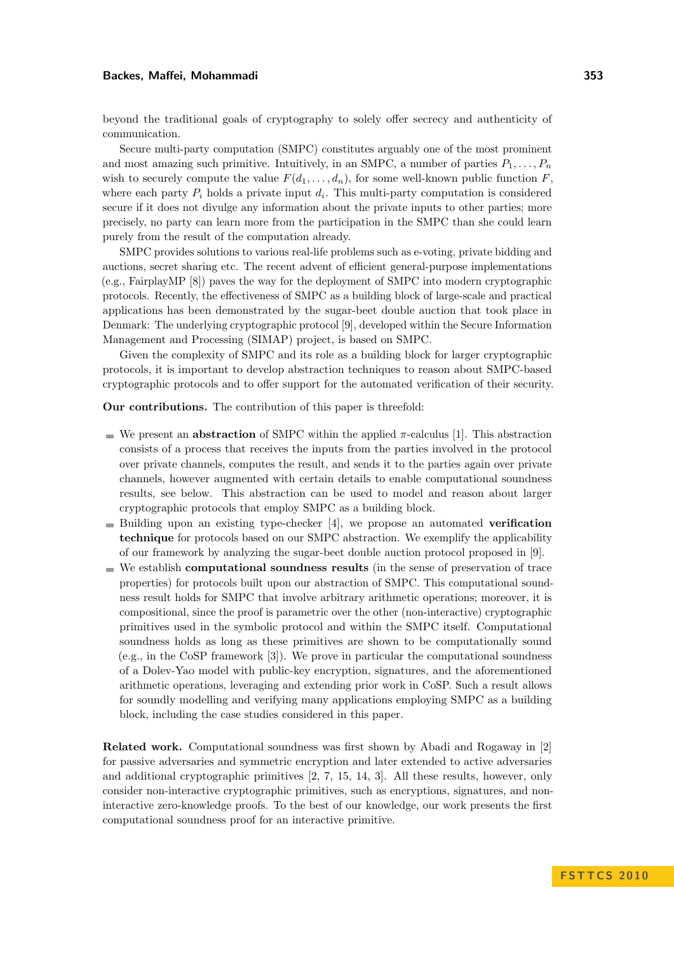beyond the traditional goals of cryptography to solely offer secrecy and authenticity of communication.

Secure multi-party computation (SMPC) constitutes arguably one of the most prominent and most amazing such primitive. Intuitively, in an SMPC, a number of parties  $P_1, \ldots, P_n$ wish to securely compute the value  $F(d_1, \ldots, d_n)$ , for some well-known public function  $F$ , where each party  $P_i$  holds a private input  $d_i$ . This multi-party computation is considered secure if it does not divulge any information about the private inputs to other parties; more precisely, no party can learn more from the participation in the SMPC than she could learn purely from the result of the computation already.

SMPC provides solutions to various real-life problems such as e-voting, private bidding and auctions, secret sharing etc. The recent advent of efficient general-purpose implementations (e.g., FairplayMP [\[8\]](#page-11-8)) paves the way for the deployment of SMPC into modern cryptographic protocols. Recently, the effectiveness of SMPC as a building block of large-scale and practical applications has been demonstrated by the sugar-beet double auction that took place in Denmark: The underlying cryptographic protocol [\[9\]](#page-11-9), developed within the Secure Information Management and Processing (SIMAP) project, is based on SMPC.

Given the complexity of SMPC and its role as a building block for larger cryptographic protocols, it is important to develop abstraction techniques to reason about SMPC-based cryptographic protocols and to offer support for the automated verification of their security.

Our contributions. The contribution of this paper is threefold:

- We present an **abstraction** of SMPC within the applied  $\pi$ -calculus [\[1\]](#page-11-10). This abstraction consists of a process that receives the inputs from the parties involved in the protocol over private channels, computes the result, and sends it to the parties again over private channels, however augmented with certain details to enable computational soundness results, see below. This abstraction can be used to model and reason about larger cryptographic protocols that employ SMPC as a building block.
- Building upon an existing type-checker  $[4]$ , we propose an automated **verification** technique for protocols based on our SMPC abstraction. We exemplify the applicability of our framework by analyzing the sugar-beet double auction protocol proposed in [\[9\]](#page-11-9).
- $\blacksquare$  We establish **computational soundness results** (in the sense of preservation of trace properties) for protocols built upon our abstraction of SMPC. This computational soundness result holds for SMPC that involve arbitrary arithmetic operations; moreover, it is compositional, since the proof is parametric over the other (non-interactive) cryptographic primitives used in the symbolic protocol and within the SMPC itself. Computational soundness holds as long as these primitives are shown to be computationally sound (e.g., in the CoSP framework [\[3\]](#page-11-6)). We prove in particular the computational soundness of a Dolev-Yao model with public-key encryption, signatures, and the aforementioned arithmetic operations, leveraging and extending prior work in CoSP. Such a result allows for soundly modelling and verifying many applications employing SMPC as a building block, including the case studies considered in this paper.

Related work. Computational soundness was first shown by Abadi and Rogaway in [\[2\]](#page-11-2) for passive adversaries and symmetric encryption and later extended to active adversaries and additional cryptographic primitives [\[2,](#page-11-2) [7,](#page-11-3) [15,](#page-11-4) [14,](#page-11-5) [3\]](#page-11-6). All these results, however, only consider non-interactive cryptographic primitives, such as encryptions, signatures, and noninteractive zero-knowledge proofs. To the best of our knowledge, our work presents the first computational soundness proof for an interactive primitive.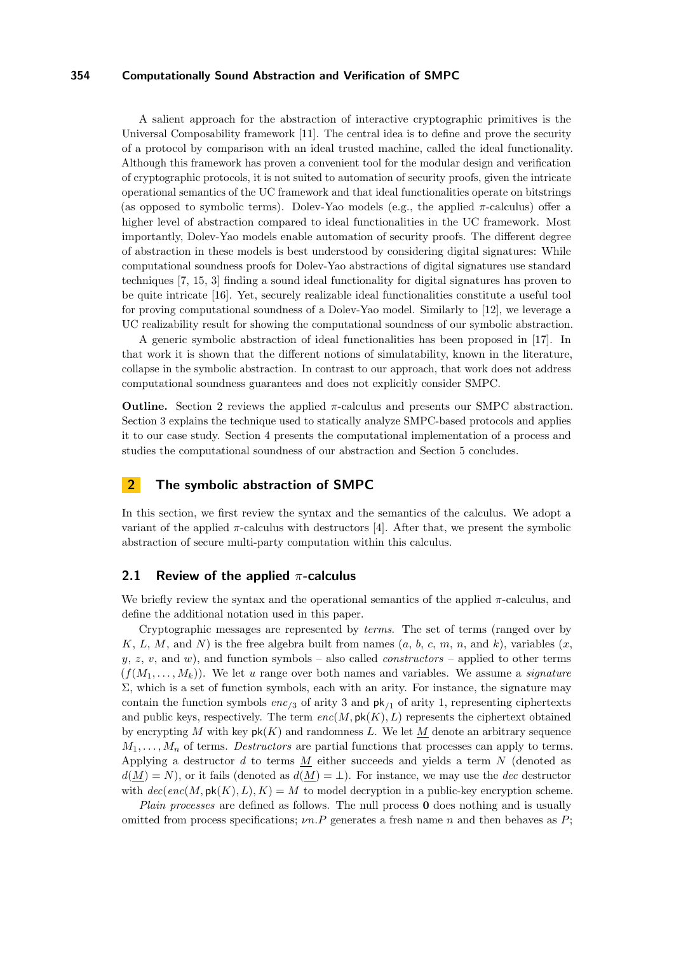A salient approach for the abstraction of interactive cryptographic primitives is the Universal Composability framework [\[11\]](#page-11-12). The central idea is to define and prove the security of a protocol by comparison with an ideal trusted machine, called the ideal functionality. Although this framework has proven a convenient tool for the modular design and verification of cryptographic protocols, it is not suited to automation of security proofs, given the intricate operational semantics of the UC framework and that ideal functionalities operate on bitstrings (as opposed to symbolic terms). Dolev-Yao models (e.g., the applied *π*-calculus) offer a higher level of abstraction compared to ideal functionalities in the UC framework. Most importantly, Dolev-Yao models enable automation of security proofs. The different degree of abstraction in these models is best understood by considering digital signatures: While computational soundness proofs for Dolev-Yao abstractions of digital signatures use standard techniques [\[7,](#page-11-3) [15,](#page-11-4) [3\]](#page-11-6) finding a sound ideal functionality for digital signatures has proven to be quite intricate [\[16\]](#page-11-13). Yet, securely realizable ideal functionalities constitute a useful tool for proving computational soundness of a Dolev-Yao model. Similarly to [\[12\]](#page-11-14), we leverage a UC realizability result for showing the computational soundness of our symbolic abstraction.

A generic symbolic abstraction of ideal functionalities has been proposed in [\[17\]](#page-11-15). In that work it is shown that the different notions of simulatability, known in the literature, collapse in the symbolic abstraction. In contrast to our approach, that work does not address computational soundness guarantees and does not explicitly consider SMPC.

Outline. Section [2](#page-2-0) reviews the applied *π*-calculus and presents our SMPC abstraction. Section [3](#page-6-0) explains the technique used to statically analyze SMPC-based protocols and applies it to our case study. Section [4](#page-7-0) presents the computational implementation of a process and studies the computational soundness of our abstraction and Section [5](#page-10-0) concludes.

# <span id="page-2-0"></span>2 The symbolic abstraction of SMPC

In this section, we first review the syntax and the semantics of the calculus. We adopt a variant of the applied  $\pi$ -calculus with destructors [\[4\]](#page-11-11). After that, we present the symbolic abstraction of secure multi-party computation within this calculus.

### 2.1 Review of the applied *π*-calculus

We briefly review the syntax and the operational semantics of the applied *π*-calculus, and define the additional notation used in this paper.

Cryptographic messages are represented by terms. The set of terms (ranged over by *K*, *L*, *M*, and *N*) is the free algebra built from names  $(a, b, c, m, n, \text{ and } k)$ , variables  $(x,$  $y, z, v$ , and  $w$ ), and function symbols – also called *constructors* – applied to other terms  $(f(M_1, \ldots, M_k))$ . We let *u* range over both names and variables. We assume a *signature*  $\Sigma$ , which is a set of function symbols, each with an arity. For instance, the signature may contain the function symbols *enc/*<sup>3</sup> of arity 3 and pk*/*<sup>1</sup> of arity 1, representing ciphertexts and public keys, respectively. The term  $enc(M, \mathsf{pk}(K), L)$  represents the ciphertext obtained by encrypting *M* with key  $pk(K)$  and randomness *L*. We let *M* denote an arbitrary sequence  $M_1, \ldots, M_n$  of terms. *Destructors* are partial functions that processes can apply to terms. Applying a destructor *d* to terms *M* either succeeds and yields a term *N* (denoted as  $d(M) = N$ , or it fails (denoted as  $d(M) = \perp$ ). For instance, we may use the *dec* destructor with  $dec(enc(M, \mathsf{pk}(K), L), K) = M$  to model decryption in a public-key encryption scheme.

Plain processes are defined as follows. The null process **0** does nothing and is usually omitted from process specifications; *νn.P* generates a fresh name *n* and then behaves as *P*;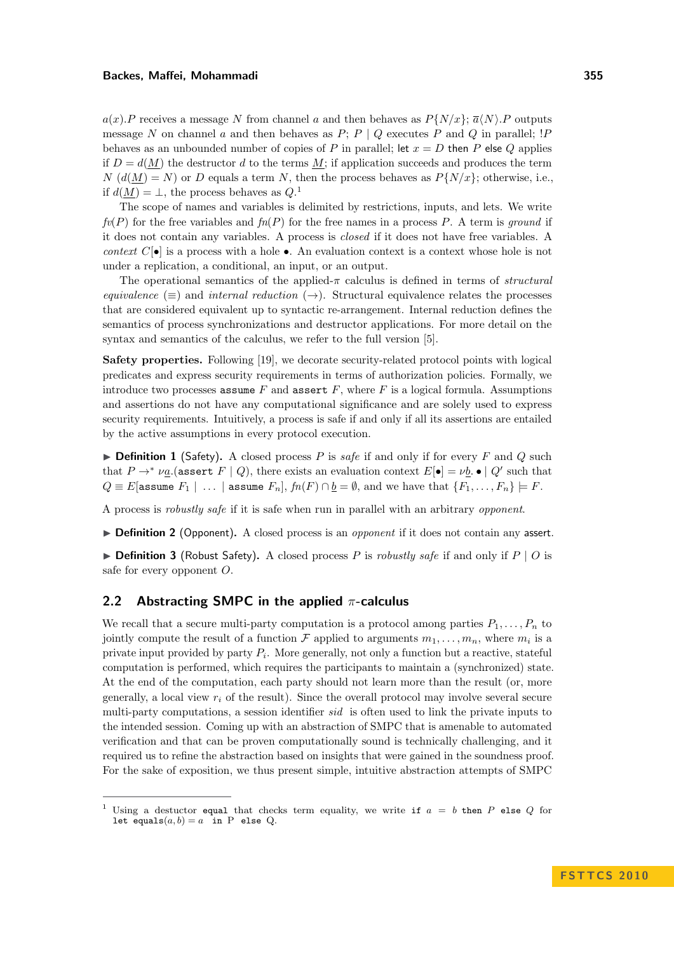$a(x)$ *.P* receives a message *N* from channel *a* and then behaves as  $P\{N/x\}$ ;  $\overline{a}(N)$ *.P* outputs message *N* on channel *a* and then behaves as *P*; *P* | *Q* executes *P* and *Q* in parallel; !*P* behaves as an unbounded number of copies of *P* in parallel; let  $x = D$  then *P* else *Q* applies if  $D = d(M)$  the destructor *d* to the terms M; if application succeeds and produces the term  $N(d(M) = N)$  or *D* equals a term *N*, then the process behaves as  $P\{N/x\}$ ; otherwise, i.e., if  $d(\underline{M}) = \perp$ , the process behaves as  $Q$ <sup>1</sup>

The scope of names and variables is delimited by restrictions, inputs, and lets. We write  $f(v(P))$  for the free variables and  $f(n(P))$  for the free names in a process P. A term is ground if it does not contain any variables. A process is closed if it does not have free variables. A *context*  $C[\bullet]$  is a process with a hole  $\bullet$ . An evaluation context is a context whose hole is not under a replication, a conditional, an input, or an output.

The operational semantics of the applied-*π* calculus is defined in terms of structural equivalence ( $\equiv$ ) and internal reduction ( $\rightarrow$ ). Structural equivalence relates the processes that are considered equivalent up to syntactic re-arrangement. Internal reduction defines the semantics of process synchronizations and destructor applications. For more detail on the syntax and semantics of the calculus, we refer to the full version [\[5\]](#page-11-16).

Safety properties. Following [\[19\]](#page-11-17), we decorate security-related protocol points with logical predicates and express security requirements in terms of authorization policies. Formally, we introduce two processes **assume**  $F$  and **assert**  $F$ , where  $F$  is a logical formula. Assumptions and assertions do not have any computational significance and are solely used to express security requirements. Intuitively, a process is safe if and only if all its assertions are entailed by the active assumptions in every protocol execution.

 $\triangleright$  **Definition 1** (Safety). A closed process *P* is safe if and only if for every *F* and *Q* such that  $P \to^* \nu_{\underline{a}}$  (assert  $F \mid Q$ ), there exists an evaluation context  $E[\bullet] = \nu_{\underline{b}} \bullet \mid Q'$  such that *Q* ≡ *E*[assume *F*<sub>1</sub> | ... | assume *F*<sub>*n*</sub>],  $fn(F) \cap \underline{b} = \emptyset$ , and we have that  $\{F_1, \ldots, F_n\} \models F$ .

A process is robustly safe if it is safe when run in parallel with an arbitrary opponent.

 $\triangleright$  **Definition 2** (Opponent). A closed process is an *opponent* if it does not contain any assert.

 $\triangleright$  **Definition 3** (Robust Safety). A closed process *P* is *robustly safe* if and only if *P* | *O* is safe for every opponent *O*.

### 2.2 Abstracting SMPC in the applied *π*-calculus

We recall that a secure multi-party computation is a protocol among parties  $P_1, \ldots, P_n$  to jointly compute the result of a function  $\mathcal F$  applied to arguments  $m_1, \ldots, m_n$ , where  $m_i$  is a private input provided by party *P<sup>i</sup>* . More generally, not only a function but a reactive, stateful computation is performed, which requires the participants to maintain a (synchronized) state. At the end of the computation, each party should not learn more than the result (or, more generally, a local view *r<sup>i</sup>* of the result). Since the overall protocol may involve several secure multi-party computations, a session identifier *sid* is often used to link the private inputs to the intended session. Coming up with an abstraction of SMPC that is amenable to automated verification and that can be proven computationally sound is technically challenging, and it required us to refine the abstraction based on insights that were gained in the soundness proof. For the sake of exposition, we thus present simple, intuitive abstraction attempts of SMPC

<sup>&</sup>lt;sup>1</sup> Using a destuctor equal that checks term equality, we write if  $a = b$  then *P* else *Q* for let equals $(a, b) = a$  in P else Q.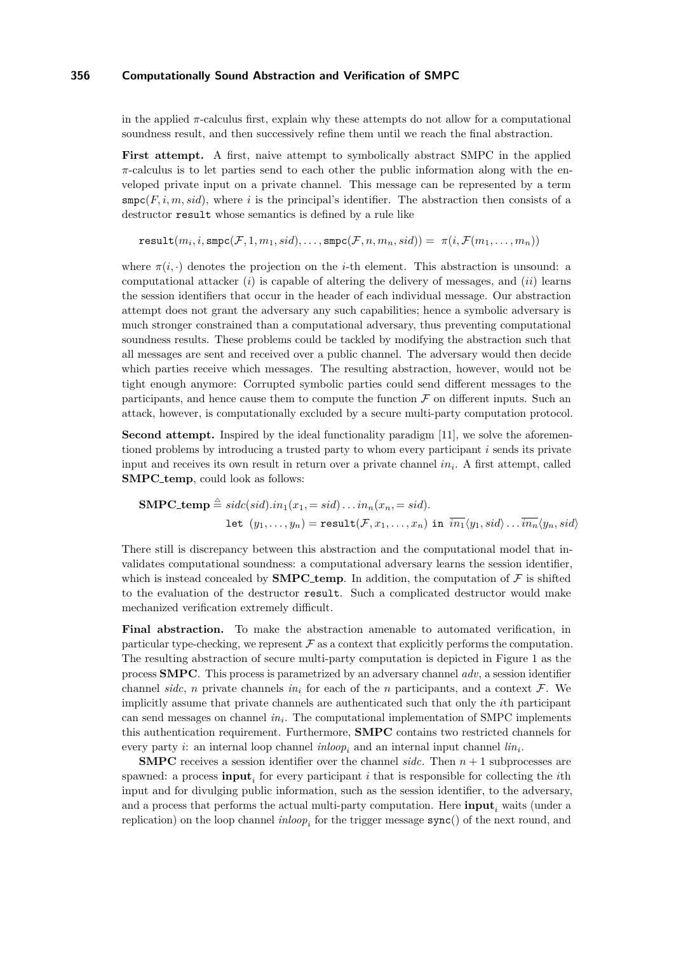in the applied  $\pi$ -calculus first, explain why these attempts do not allow for a computational soundness result, and then successively refine them until we reach the final abstraction.

First attempt. A first, naive attempt to symbolically abstract SMPC in the applied *π*-calculus is to let parties send to each other the public information along with the enveloped private input on a private channel. This message can be represented by a term  $\text{smpc}(F, i, m, sid)$ , where *i* is the principal's identifier. The abstraction then consists of a destructor result whose semantics is defined by a rule like

 $\texttt{result}(m_i, i, \texttt{smpc}(\mathcal{F}, 1, m_1, sid), \ldots, \texttt{smpc}(\mathcal{F}, n, m_n, sid)) = \; \pi(i, \mathcal{F}(m_1, \ldots, m_n))$ 

where  $\pi(i, \cdot)$  denotes the projection on the *i*-th element. This abstraction is unsound: a computational attacker (*i*) is capable of altering the delivery of messages, and (*ii*) learns the session identifiers that occur in the header of each individual message. Our abstraction attempt does not grant the adversary any such capabilities; hence a symbolic adversary is much stronger constrained than a computational adversary, thus preventing computational soundness results. These problems could be tackled by modifying the abstraction such that all messages are sent and received over a public channel. The adversary would then decide which parties receive which messages. The resulting abstraction, however, would not be tight enough anymore: Corrupted symbolic parties could send different messages to the participants, and hence cause them to compute the function  $\mathcal F$  on different inputs. Such an attack, however, is computationally excluded by a secure multi-party computation protocol.

Second attempt. Inspired by the ideal functionality paradigm [\[11\]](#page-11-12), we solve the aforementioned problems by introducing a trusted party to whom every participant *i* sends its private input and receives its own result in return over a private channel *in<sup>i</sup>* . A first attempt, called SMPC\_temp, could look as follows:

$$
\begin{aligned} \mathbf{SMPC}\text{-}\mathbf{temp} &\stackrel{\triangle}{=}} \mathit{side}(\mathit{sid}).\mathit{in}_1(x_1,=\mathit{sid})\dots\mathit{in}_n(x_n,=\mathit{sid}).\\ \mathbf{let}\ \ (y_1,\dots,y_n)=\texttt{result}(\mathcal{F},x_1,\dots,x_n)\ \ \texttt{in}\ \ \overline{\mathit{in}_1}\langle y_1,\mathit{sid}\rangle\dots\overline{\mathit{in}_n}\langle y_n,\mathit{sid}\rangle \end{aligned}
$$

There still is discrepancy between this abstraction and the computational model that invalidates computational soundness: a computational adversary learns the session identifier, which is instead concealed by **SMPC** temp. In addition, the computation of  $\mathcal F$  is shifted to the evaluation of the destructor result. Such a complicated destructor would make mechanized verification extremely difficult.

Final abstraction. To make the abstraction amenable to automated verification, in particular type-checking, we represent  $\mathcal F$  as a context that explicitly performs the computation. The resulting abstraction of secure multi-party computation is depicted in Figure [1](#page-5-0) as the process SMPC. This process is parametrized by an adversary channel *adv*, a session identifier channel *sidc*, *n* private channels  $in_i$  for each of the *n* participants, and a context  $\mathcal{F}$ . We implicitly assume that private channels are authenticated such that only the *i*th participant can send messages on channel *in<sup>i</sup>* . The computational implementation of SMPC implements this authentication requirement. Furthermore, SMPC contains two restricted channels for every party *i*: an internal loop channel  $\text{inloop}_i$  and an internal input channel  $\text{lin}_i$ .

**SMPC** receives a session identifier over the channel *sidc*. Then  $n + 1$  subprocesses are spawned: a process  $\text{input}_i$  for every participant *i* that is responsible for collecting the *i*th input and for divulging public information, such as the session identifier, to the adversary, and a process that performs the actual multi-party computation. Here input*<sup>i</sup>* waits (under a replication) on the loop channel  $\text{inloop}_i$  for the trigger message  $\text{sync}()$  of the next round, and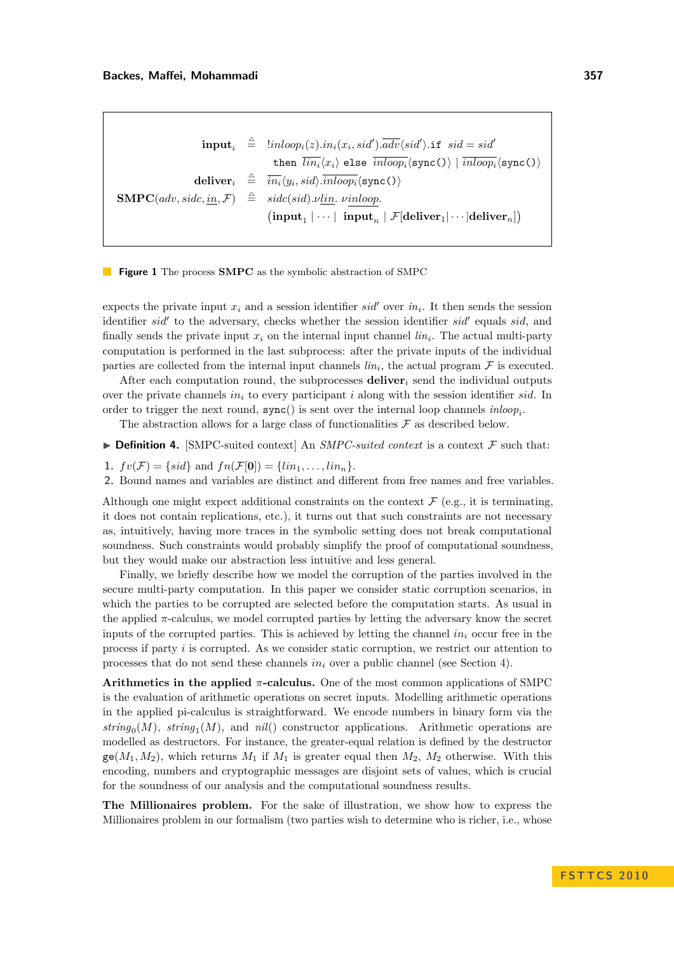<span id="page-5-0"></span> $\textbf{input}_i \quad \triangleq \quad \text{linloop}_i(z).\text{in}_i(x_i, sid').\overline{adv}\langle sid'\rangle.\texttt{if} \quad sid = sid'$ then  $\overline{lin_i}\langle x_i \rangle$  else  $\overline{inloop_i}\langle \texttt{sync}() \rangle | \overline{inloop_i}\langle \texttt{sync}() \rangle$  $\textbf{deliver}_i \hspace{2mm} \triangleq \hspace{2mm} \overline{in_i} \langle y_i, sid \rangle . \overline{inloop_i} \langle \texttt{sync}( \rangle \rangle$  $\textbf{SMPC}(adv, side, \underline{in}, \mathcal{F}) \triangleq side(sid). \nu \underline{lin}. \ \nu in loop.$  $\left(\text{input}_1 | \cdots | \text{ input}_n | \mathcal{F}[\text{deliver}_1 | \cdots | \text{deliver}_n]\right)$ 

**Figure 1** The process **SMPC** as the symbolic abstraction of SMPC

expects the private input  $x_i$  and a session identifier  $sid'$  over  $in_i$ . It then sends the session identifier *sid'* to the adversary, checks whether the session identifier *sid'* equals *sid*, and finally sends the private input  $x_i$  on the internal input channel  $\lim_i$ . The actual multi-party computation is performed in the last subprocess: after the private inputs of the individual parties are collected from the internal input channels  $\lim_{i}$ , the actual program  $\mathcal F$  is executed.

After each computation round, the subprocesses deliver*<sup>i</sup>* send the individual outputs over the private channels *in<sup>i</sup>* to every participant *i* along with the session identifier *sid*. In order to trigger the next round,  $sync()$  is sent over the internal loop channels  $inloop<sub>i</sub>$ .

The abstraction allows for a large class of functionalities  $\mathcal F$  as described below.

 $\triangleright$  Definition 4. [SMPC-suited context] An *SMPC-suited context* is a context  $\mathcal F$  such that:

- 1.  $fv(\mathcal{F}) = \{sid\}$  and  $fn(\mathcal{F}[\mathbf{0}]) = \{lin_1, \ldots, lin_n\}.$
- 2. Bound names and variables are distinct and different from free names and free variables.

Although one might expect additional constraints on the context  $\mathcal{F}$  (e.g., it is terminating, it does not contain replications, etc.), it turns out that such constraints are not necessary as, intuitively, having more traces in the symbolic setting does not break computational soundness. Such constraints would probably simplify the proof of computational soundness, but they would make our abstraction less intuitive and less general.

Finally, we briefly describe how we model the corruption of the parties involved in the secure multi-party computation. In this paper we consider static corruption scenarios, in which the parties to be corrupted are selected before the computation starts. As usual in the applied  $\pi$ -calculus, we model corrupted parties by letting the adversary know the secret inputs of the corrupted parties. This is achieved by letting the channel *in<sup>i</sup>* occur free in the process if party *i* is corrupted. As we consider static corruption, we restrict our attention to processes that do not send these channels *in<sup>i</sup>* over a public channel (see Section [4\)](#page-7-0).

Arithmetics in the applied *π*-calculus. One of the most common applications of SMPC is the evaluation of arithmetic operations on secret inputs. Modelling arithmetic operations in the applied pi-calculus is straightforward. We encode numbers in binary form via the  $string_0(M)$ ,  $string_1(M)$ , and  $nil()$  constructor applications. Arithmetic operations are modelled as destructors. For instance, the greater-equal relation is defined by the destructor  $ge(M_1, M_2)$ , which returns  $M_1$  if  $M_1$  is greater equal then  $M_2$ ,  $M_2$  otherwise. With this encoding, numbers and cryptographic messages are disjoint sets of values, which is crucial for the soundness of our analysis and the computational soundness results.

The Millionaires problem. For the sake of illustration, we show how to express the Millionaires problem in our formalism (two parties wish to determine who is richer, i.e., whose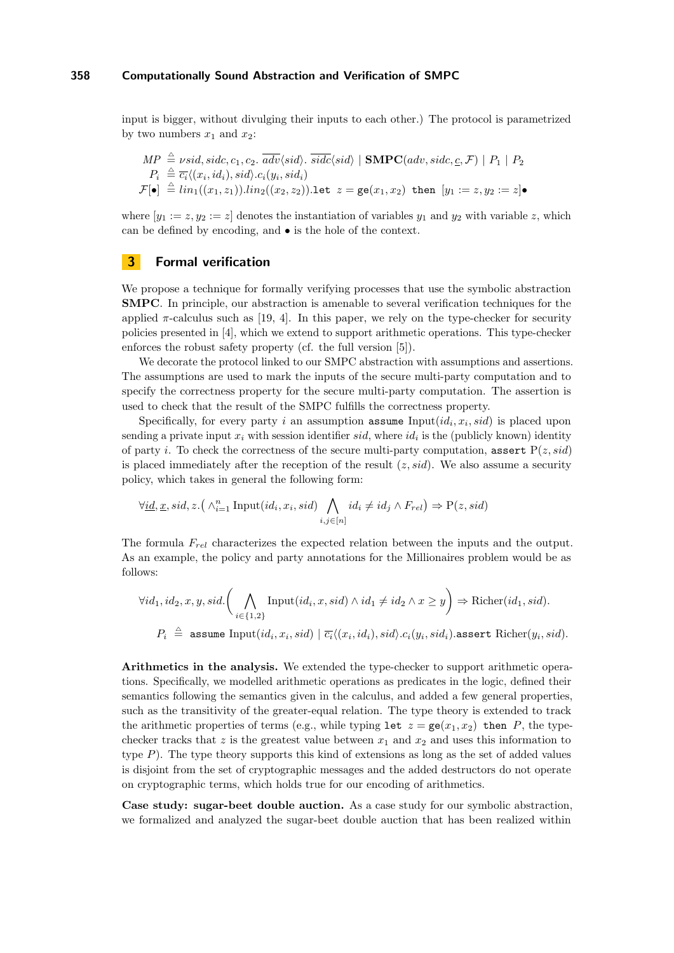input is bigger, without divulging their inputs to each other.) The protocol is parametrized by two numbers  $x_1$  and  $x_2$ :

$$
MP \triangleq \nu sid, sidc, c_1, c_2. \overline{adv}\langle sid \rangle. \overline{sidc}\langle sid \rangle \mid \text{SMPC}(adv, side, c, \mathcal{F}) \mid P_1 \mid P_2
$$
  
\n
$$
P_i \triangleq \overline{c_i} \langle (x_i, id_i), sid \rangle. c_i(y_i, sid_i)
$$
  
\n
$$
\mathcal{F}[\bullet] \triangleq lin_1((x_1, z_1)).lin_2((x_2, z_2)).\text{let } z = \text{ge}(x_1, x_2) \text{ then } [y_1 := z, y_2 := z] \bullet
$$

where  $[y_1 := z, y_2 := z]$  denotes the instantiation of variables  $y_1$  and  $y_2$  with variable  $z$ , which can be defined by encoding, and • is the hole of the context.

# <span id="page-6-0"></span>**3** Formal verification

We propose a technique for formally verifying processes that use the symbolic abstraction SMPC. In principle, our abstraction is amenable to several verification techniques for the applied  $\pi$ -calculus such as [\[19,](#page-11-17) [4\]](#page-11-11). In this paper, we rely on the type-checker for security policies presented in [\[4\]](#page-11-11), which we extend to support arithmetic operations. This type-checker enforces the robust safety property (cf. the full version [\[5\]](#page-11-16)).

We decorate the protocol linked to our SMPC abstraction with assumptions and assertions. The assumptions are used to mark the inputs of the secure multi-party computation and to specify the correctness property for the secure multi-party computation. The assertion is used to check that the result of the SMPC fulfills the correctness property.

Specifically, for every party *i* an assumption **assume** Input( $id_i$ ,  $x_i$ ,  $sid$ ) is placed upon sending a private input  $x_i$  with session identifier  $sid$ , where  $id_i$  is the (publicly known) identity of party *i*. To check the correctness of the secure multi-party computation, assert  $P(z, sid)$ is placed immediately after the reception of the result (*z, sid*). We also assume a security policy, which takes in general the following form:

$$
\forall \underline{id}, \underline{x}, sid, z. \big(\land_{i=1}^n \text{Input}(id_i, x_i, sid) \bigwedge_{i,j \in [n]} id_i \neq id_j \land F_{rel} \big) \Rightarrow P(z, sid)
$$

The formula *Frel* characterizes the expected relation between the inputs and the output. As an example, the policy and party annotations for the Millionaires problem would be as follows:

$$
\forall id_1, id_2, x, y, sid. \left( \bigwedge_{i \in \{1,2\}} \text{Input}(id_i, x, sid) \land id_1 \neq id_2 \land x \geq y \right) \Rightarrow \text{Richer}(id_1, sid).
$$
\n
$$
P_i \triangleq \text{assume Input}(id_i, x_i, sid) \mid \overline{c_i} \langle (x_i, id_i), sid \rangle . c_i(y_i, sid_i). \text{assert Richer}(y_i, sid).
$$

Arithmetics in the analysis. We extended the type-checker to support arithmetic operations. Specifically, we modelled arithmetic operations as predicates in the logic, defined their semantics following the semantics given in the calculus, and added a few general properties, such as the transitivity of the greater-equal relation. The type theory is extended to track the arithmetic properties of terms (e.g., while typing let  $z = \text{ge}(x_1, x_2)$ ) then *P*, the typechecker tracks that  $z$  is the greatest value between  $x_1$  and  $x_2$  and uses this information to type *P*). The type theory supports this kind of extensions as long as the set of added values is disjoint from the set of cryptographic messages and the added destructors do not operate on cryptographic terms, which holds true for our encoding of arithmetics.

Case study: sugar-beet double auction. As a case study for our symbolic abstraction, we formalized and analyzed the sugar-beet double auction that has been realized within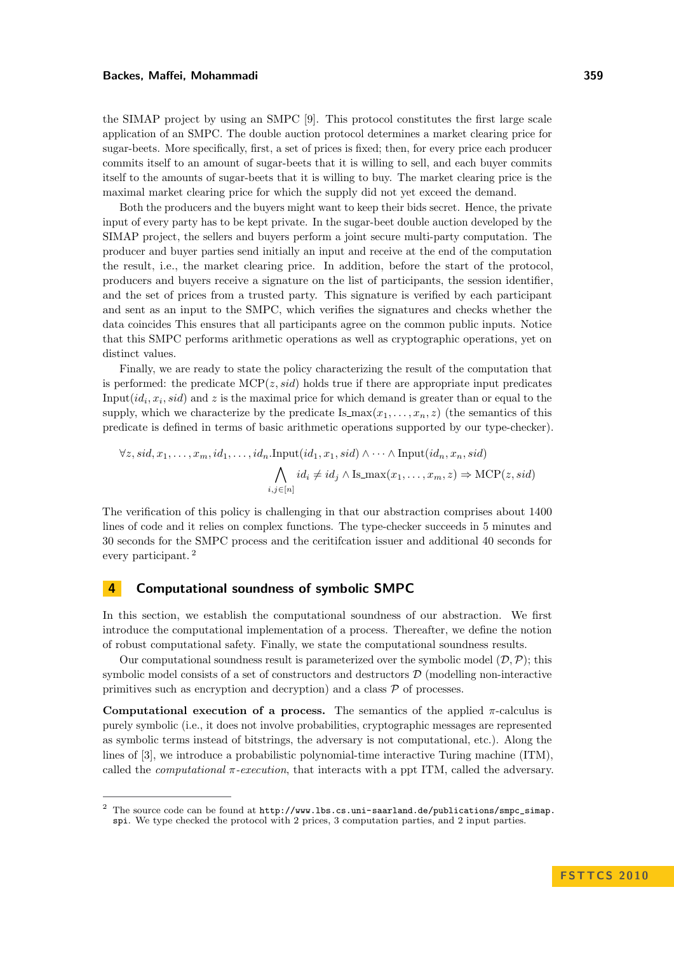the SIMAP project by using an SMPC [\[9\]](#page-11-9). This protocol constitutes the first large scale application of an SMPC. The double auction protocol determines a market clearing price for sugar-beets. More specifically, first, a set of prices is fixed; then, for every price each producer commits itself to an amount of sugar-beets that it is willing to sell, and each buyer commits itself to the amounts of sugar-beets that it is willing to buy. The market clearing price is the maximal market clearing price for which the supply did not yet exceed the demand.

Both the producers and the buyers might want to keep their bids secret. Hence, the private input of every party has to be kept private. In the sugar-beet double auction developed by the SIMAP project, the sellers and buyers perform a joint secure multi-party computation. The producer and buyer parties send initially an input and receive at the end of the computation the result, i.e., the market clearing price. In addition, before the start of the protocol, producers and buyers receive a signature on the list of participants, the session identifier, and the set of prices from a trusted party. This signature is verified by each participant and sent as an input to the SMPC, which verifies the signatures and checks whether the data coincides This ensures that all participants agree on the common public inputs. Notice that this SMPC performs arithmetic operations as well as cryptographic operations, yet on distinct values.

Finally, we are ready to state the policy characterizing the result of the computation that is performed: the predicate  $\text{MCP}(z, sid)$  holds true if there are appropriate input predicates Input( $id_i$ ,  $x_i$ ,  $sid$ ) and  $z$  is the maximal price for which demand is greater than or equal to the supply, which we characterize by the predicate Is  $\max(x_1, \ldots, x_n, z)$  (the semantics of this predicate is defined in terms of basic arithmetic operations supported by our type-checker).

$$
\forall z, sid, x_1, \dots, x_m, id_1, \dots, id_n.\text{Input}(id_1, x_1, sid) \land \dots \land \text{Input}(id_n, x_n, sid)
$$

$$
\bigwedge_{i,j \in [n]} id_i \neq id_j \land \text{Is\_max}(x_1, \dots, x_m, z) \Rightarrow \text{MCP}(z, sid)
$$

The verification of this policy is challenging in that our abstraction comprises about 1400 lines of code and it relies on complex functions. The type-checker succeeds in 5 minutes and 30 seconds for the SMPC process and the ceritifcation issuer and additional 40 seconds for every participant. <sup>2</sup>

### <span id="page-7-0"></span>4 Computational soundness of symbolic SMPC

In this section, we establish the computational soundness of our abstraction. We first introduce the computational implementation of a process. Thereafter, we define the notion of robust computational safety. Finally, we state the computational soundness results.

Our computational soundness result is parameterized over the symbolic model  $(\mathcal{D}, \mathcal{P})$ ; this symbolic model consists of a set of constructors and destructors  $D$  (modelling non-interactive primitives such as encryption and decryption) and a class  $\mathcal P$  of processes.

Computational execution of a process. The semantics of the applied  $\pi$ -calculus is purely symbolic (i.e., it does not involve probabilities, cryptographic messages are represented as symbolic terms instead of bitstrings, the adversary is not computational, etc.). Along the lines of [\[3\]](#page-11-6), we introduce a probabilistic polynomial-time interactive Turing machine (ITM), called the *computational*  $\pi$ -execution, that interacts with a ppt ITM, called the adversary.

<sup>&</sup>lt;sup>2</sup> The source code can be found at  $http://www.1bs.cs.uni-saarland.de/publications/smpc_simap.$ [spi](http://www.lbs.cs.uni-saarland.de/publications/smpc_simap.spi). We type checked the protocol with 2 prices, 3 computation parties, and 2 input parties.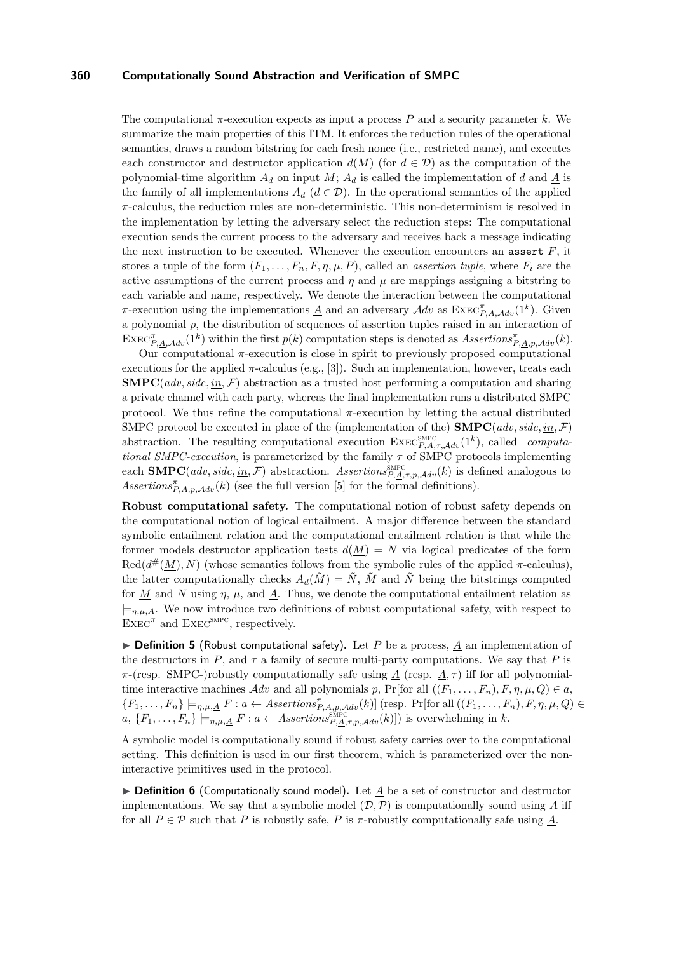The computational *π*-execution expects as input a process *P* and a security parameter *k*. We summarize the main properties of this ITM. It enforces the reduction rules of the operational semantics, draws a random bitstring for each fresh nonce (i.e., restricted name), and executes each constructor and destructor application  $d(M)$  (for  $d \in \mathcal{D}$ ) as the computation of the polynomial-time algorithm  $A_d$  on input  $M$ ;  $A_d$  is called the implementation of  $d$  and  $\underline{A}$  is the family of all implementations  $A_d$  ( $d \in \mathcal{D}$ ). In the operational semantics of the applied *π*-calculus, the reduction rules are non-deterministic. This non-determinism is resolved in the implementation by letting the adversary select the reduction steps: The computational execution sends the current process to the adversary and receives back a message indicating the next instruction to be executed. Whenever the execution encounters an assert *F*, it stores a tuple of the form  $(F_1, \ldots, F_n, F, \eta, \mu, P)$ , called an *assertion tuple*, where  $F_i$  are the active assumptions of the current process and  $\eta$  and  $\mu$  are mappings assigning a bitstring to each variable and name, respectively. We denote the interaction between the computational *π*-execution using the implementations <u>*A*</u> and an adversary  $Adv$  as  $\text{EXEC}_{P,A,Adv}^{\pi}(1^k)$ . Given a polynomial *p*, the distribution of sequences of assertion tuples raised in an interaction of  $\text{EXEC}_{P,A,\mathcal{A}dv}^{\pi}(1^k)$  within the first  $p(k)$  computation steps is denoted as  $\text{A}ssertions_{P,A,p,\mathcal{A}dv}^{\pi}(k)$ .

Our computational *π*-execution is close in spirit to previously proposed computational executions for the applied *π*-calculus (e.g., [\[3\]](#page-11-6)). Such an implementation, however, treats each  $\text{SMPC}(adv, side, in, \mathcal{F})$  abstraction as a trusted host performing a computation and sharing a private channel with each party, whereas the final implementation runs a distributed SMPC protocol. We thus refine the computational  $\pi$ -execution by letting the actual distributed SMPC protocol be executed in place of the (implementation of the) **SMPC** $(adv, side, in, \mathcal{F})$ abstraction. The resulting computational execution  $\text{ExEC}_{P,A,\tau,\mathcal{A}dv}^{\text{SMPC}}(1^k)$ , called *computa*tional SMPC-execution, is parameterized by the family  $\tau$  of SMPC protocols implementing each **SMPC**(*adv, sidc*, <u>in</u>, F) abstraction. *Assertions*<sub>P,A, $\tau$ , $p$ , $\mathcal{A}dv$ (*k*) is defined analogous to</sub>  $\hat{A}$ *Assertions*<sup> $\pi$ </sup><sub>*P,A,p,Adv*</sub>(*k*) (see the full version [\[5\]](#page-11-16) for the formal definitions).

Robust computational safety. The computational notion of robust safety depends on the computational notion of logical entailment. A major difference between the standard symbolic entailment relation and the computational entailment relation is that while the former models destructor application tests  $d(\underline{M}) = N$  via logical predicates of the form Red( $d^*(M)$ , N) (whose semantics follows from the symbolic rules of the applied  $\pi$ -calculus), the latter computationally checks  $A_d(\tilde{M}) = \tilde{N}$ ,  $\tilde{M}$  and  $\tilde{N}$  being the bitstrings computed for  $M$  and  $N$  using  $\eta$ ,  $\mu$ , and  $\Lambda$ . Thus, we denote the computational entailment relation as  $\models_{\eta,\mu,\underline{A}}$ . We now introduce two definitions of robust computational safety, with respect to  $\overline{\text{EXEC}}^{\pi}$  and  $\overline{\text{EXEC}}^{\text{SMPC}}$ , respectively.

**Definition 5** (Robust computational safety). Let P be a process,  $\underline{A}$  an implementation of the destructors in  $P$ , and  $\tau$  a family of secure multi-party computations. We say that  $P$  is *π*-(resp. SMPC-)robustly computationally safe using  $\underline{A}$  (resp.  $\underline{A}$ , *τ*) iff for all polynomialtime interactive machines  $\mathcal{A}dv$  and all polynomials  $p$ , Pr[for all  $((F_1, \ldots, F_n), F, \eta, \mu, Q) \in a$ ,  ${F_1, \ldots, F_n} \models_{\eta, \mu, \underline{A}} F : a \leftarrow \text{A} \text{A} \text{set} \text{B} \text{set} \text{B} \text{set} \text{B} \text{B}$  (resp. Pr[for all  $((F_1, \ldots, F_n), F, \eta, \mu, Q) \in$  $a, \{F_1, \ldots, F_n\} \models_{\eta,\mu,\underline{A}} F : a \leftarrow \text{A}{\text{ssertions}_{P,\underline{A},\tau,p,\mathcal{A}}^{\text{Spec}}(k)]}$  is overwhelming in *k*.

A symbolic model is computationally sound if robust safety carries over to the computational setting. This definition is used in our first theorem, which is parameterized over the noninteractive primitives used in the protocol.

 $\triangleright$  **Definition 6** (Computationally sound model). Let *A* be a set of constructor and destructor implementations. We say that a symbolic model  $(\mathcal{D}, \mathcal{P})$  is computationally sound using A iff for all  $P \in \mathcal{P}$  such that *P* is robustly safe, *P* is  $\pi$ -robustly computationally safe using <u>A</u>.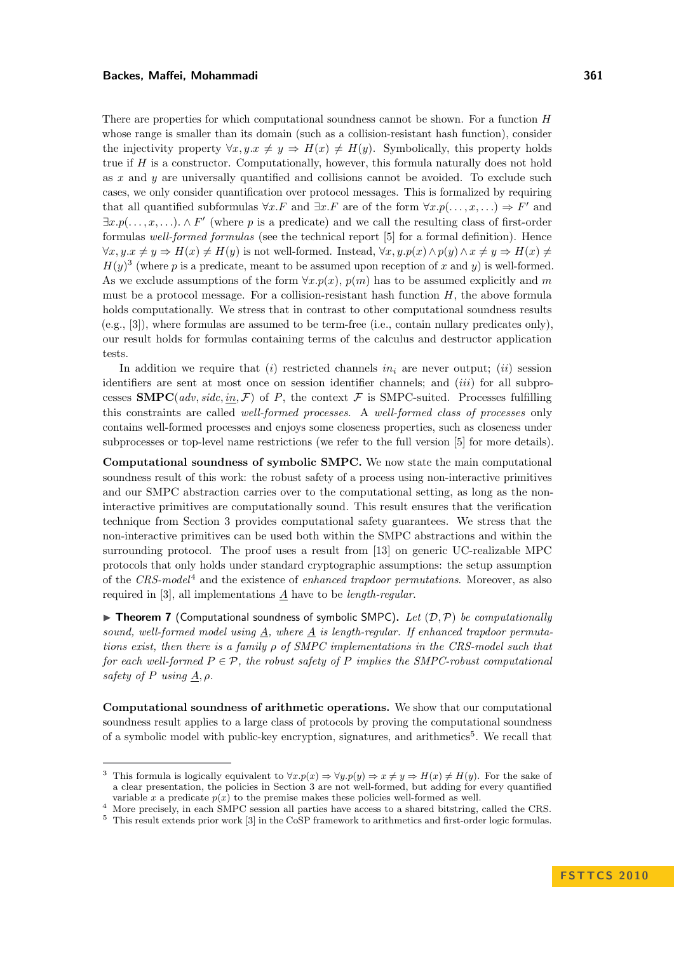There are properties for which computational soundness cannot be shown. For a function *H* whose range is smaller than its domain (such as a collision-resistant hash function), consider the injectivity property  $\forall x, y \in \mathcal{X} \neq y \Rightarrow H(x) \neq H(y)$ . Symbolically, this property holds true if *H* is a constructor. Computationally, however, this formula naturally does not hold as *x* and *y* are universally quantified and collisions cannot be avoided. To exclude such cases, we only consider quantification over protocol messages. This is formalized by requiring that all quantified subformulas  $\forall x.F$  and  $\exists x.F$  are of the form  $\forall x.p(...,x,...) \Rightarrow F'$  and  $\exists x.p(...,x,...)$ .  $\wedge F'$  (where p is a predicate) and we call the resulting class of first-order formulas well-formed formulas (see the technical report [\[5\]](#page-11-16) for a formal definition). Hence  $\forall x, y \in \mathcal{X} \neq y \Rightarrow H(x) \neq H(y)$  is not well-formed. Instead,  $\forall x, y \cdot p(x) \land p(y) \land x \neq y \Rightarrow H(x) \neq y$  $H(y)^3$  (where *p* is a predicate, meant to be assumed upon reception of *x* and *y*) is well-formed. As we exclude assumptions of the form ∀*x.p*(*x*), *p*(*m*) has to be assumed explicitly and *m* must be a protocol message. For a collision-resistant hash function *H*, the above formula holds computationally. We stress that in contrast to other computational soundness results (e.g., [\[3\]](#page-11-6)), where formulas are assumed to be term-free (i.e., contain nullary predicates only), our result holds for formulas containing terms of the calculus and destructor application tests.

In addition we require that (*i*) restricted channels  $in_i$  are never output; (*ii*) session identifiers are sent at most once on session identifier channels; and (*iii*) for all subprocesses  $\text{SMPC}(adv, side, in, \mathcal{F})$  of P, the context  $\mathcal F$  is SMPC-suited. Processes fulfilling this constraints are called well-formed processes. A well-formed class of processes only contains well-formed processes and enjoys some closeness properties, such as closeness under subprocesses or top-level name restrictions (we refer to the full version [\[5\]](#page-11-16) for more details).

Computational soundness of symbolic SMPC. We now state the main computational soundness result of this work: the robust safety of a process using non-interactive primitives and our SMPC abstraction carries over to the computational setting, as long as the noninteractive primitives are computationally sound. This result ensures that the verification technique from Section [3](#page-6-0) provides computational safety guarantees. We stress that the non-interactive primitives can be used both within the SMPC abstractions and within the surrounding protocol. The proof uses a result from [\[13\]](#page-11-18) on generic UC-realizable MPC protocols that only holds under standard cryptographic assumptions: the setup assumption of the  $CRS-model<sup>4</sup>$  and the existence of *enhanced trapdoor permutations*. Moreover, as also required in [\[3\]](#page-11-6), all implementations *A* have to be length-regular.

<span id="page-9-0"></span>**In Theorem 7** (Computational soundness of symbolic SMPC). Let  $(D, \mathcal{P})$  be computationally sound, well-formed model using *A*, where *A* is length-regular. If enhanced trapdoor permutations exist, then there is a family *ρ* of SMPC implementations in the CRS-model such that for each well-formed  $P \in \mathcal{P}$ , the robust safety of  $P$  implies the SMPC-robust computational safety of *P* using  $\underline{A}, \rho$ .

Computational soundness of arithmetic operations. We show that our computational soundness result applies to a large class of protocols by proving the computational soundness of a symbolic model with public-key encryption, signatures, and arithmetics<sup>5</sup>. We recall that

<sup>&</sup>lt;sup>3</sup> This formula is logically equivalent to  $\forall x. p(x) \Rightarrow \forall y. p(y) \Rightarrow x \neq y \Rightarrow H(x) \neq H(y)$ . For the sake of a clear presentation, the policies in Section [3](#page-6-0) are not well-formed, but adding for every quantified variable *x* a predicate  $p(x)$  to the premise makes these policies well-formed as well.

<sup>4</sup> More precisely, in each SMPC session all parties have access to a shared bitstring, called the CRS.

<sup>5</sup> This result extends prior work [\[3\]](#page-11-6) in the CoSP framework to arithmetics and first-order logic formulas.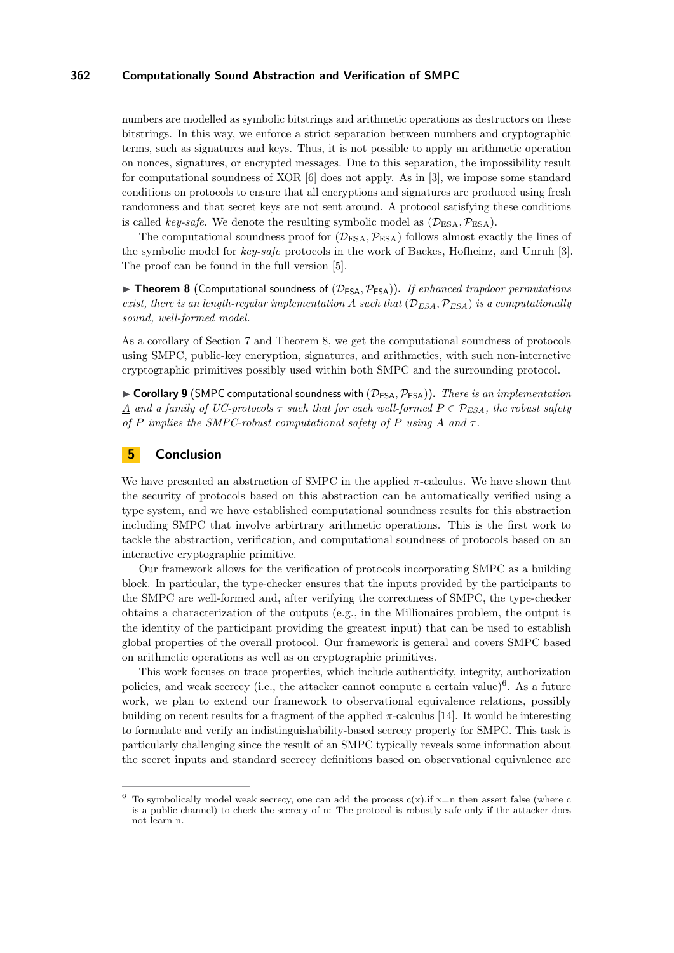numbers are modelled as symbolic bitstrings and arithmetic operations as destructors on these bitstrings. In this way, we enforce a strict separation between numbers and cryptographic terms, such as signatures and keys. Thus, it is not possible to apply an arithmetic operation on nonces, signatures, or encrypted messages. Due to this separation, the impossibility result for computational soundness of XOR [\[6\]](#page-11-19) does not apply. As in [\[3\]](#page-11-6), we impose some standard conditions on protocols to ensure that all encryptions and signatures are produced using fresh randomness and that secret keys are not sent around. A protocol satisfying these conditions is called key-safe. We denote the resulting symbolic model as  $(\mathcal{D}_{\text{ESA}}, \mathcal{P}_{\text{ESA}})$ .

The computational soundness proof for  $(\mathcal{D}_{\text{ESA}}, \mathcal{P}_{\text{ESA}})$  follows almost exactly the lines of the symbolic model for key-safe protocols in the work of Backes, Hofheinz, and Unruh [\[3\]](#page-11-6). The proof can be found in the full version [\[5\]](#page-11-16).

<span id="page-10-1"></span>**In Theorem 8** (Computational soundness of  $(\mathcal{D}_{\text{ESA}}, \mathcal{P}_{\text{ESA}})$ ). If enhanced trapdoor permutations exist, there is an length-regular implementation A such that  $(\mathcal{D}_{ESA}, \mathcal{P}_{ESA})$  is a computationally sound, well-formed model.

As a corollary of Section [7](#page-9-0) and Theorem [8,](#page-10-1) we get the computational soundness of protocols using SMPC, public-key encryption, signatures, and arithmetics, with such non-interactive cryptographic primitives possibly used within both SMPC and the surrounding protocol.

**Corollary 9** (SMPC computational soundness with  $(\mathcal{D}_{ESA}, \mathcal{P}_{ESA})$ ). There is an implementation *A* and a family of UC-protocols  $\tau$  such that for each well-formed  $P \in \mathcal{P}_{ESA}$ , the robust safety of *P* implies the SMPC-robust computational safety of *P* using  $\underline{A}$  and  $\tau$ .

# <span id="page-10-0"></span>**5** Conclusion

We have presented an abstraction of SMPC in the applied  $\pi$ -calculus. We have shown that the security of protocols based on this abstraction can be automatically verified using a type system, and we have established computational soundness results for this abstraction including SMPC that involve arbirtrary arithmetic operations. This is the first work to tackle the abstraction, verification, and computational soundness of protocols based on an interactive cryptographic primitive.

Our framework allows for the verification of protocols incorporating SMPC as a building block. In particular, the type-checker ensures that the inputs provided by the participants to the SMPC are well-formed and, after verifying the correctness of SMPC, the type-checker obtains a characterization of the outputs (e.g., in the Millionaires problem, the output is the identity of the participant providing the greatest input) that can be used to establish global properties of the overall protocol. Our framework is general and covers SMPC based on arithmetic operations as well as on cryptographic primitives.

This work focuses on trace properties, which include authenticity, integrity, authorization policies, and weak secrecy (i.e., the attacker cannot compute a certain value)<sup>6</sup>. As a future work, we plan to extend our framework to observational equivalence relations, possibly building on recent results for a fragment of the applied *π*-calculus [\[14\]](#page-11-5). It would be interesting to formulate and verify an indistinguishability-based secrecy property for SMPC. This task is particularly challenging since the result of an SMPC typically reveals some information about the secret inputs and standard secrecy definitions based on observational equivalence are

 $^6\,$  To symbolically model weak secrecy, one can add the process c(x).if x=n then assert false (where c is a public channel) to check the secrecy of n: The protocol is robustly safe only if the attacker does not learn n.